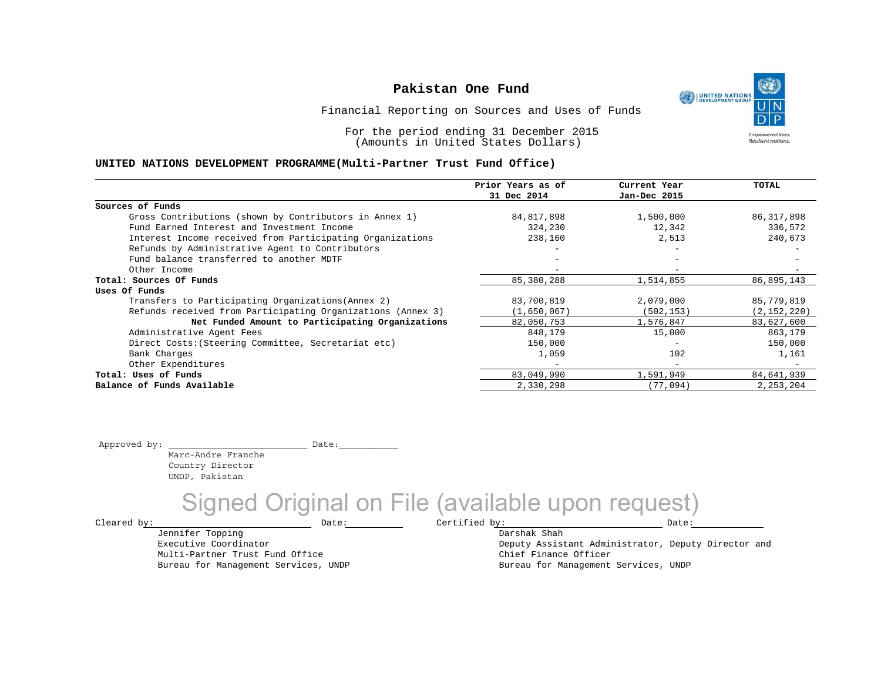UNITED NATIONS **Empowered lives Resilient nations.** 

Financial Reporting on Sources and Uses of Funds

For the period ending 31 December 2015 (Amounts in United States Dollars)

#### **UNITED NATIONS DEVELOPMENT PROGRAMME(Multi-Partner Trust Fund Office)**

|                                                             | Prior Years as of | Current Year             | TOTAL         |
|-------------------------------------------------------------|-------------------|--------------------------|---------------|
|                                                             | 31 Dec 2014       | Jan-Dec 2015             |               |
| Sources of Funds                                            |                   |                          |               |
| Gross Contributions (shown by Contributors in Annex 1)      | 84,817,898        | 1,500,000                | 86, 317, 898  |
| Fund Earned Interest and Investment Income                  | 324,230           | 12,342                   | 336,572       |
| Interest Income received from Participating Organizations   | 238,160           | 2,513                    | 240,673       |
| Refunds by Administrative Agent to Contributors             |                   | $\overline{\phantom{m}}$ |               |
| Fund balance transferred to another MDTF                    |                   |                          |               |
| Other Income                                                |                   |                          |               |
| Total: Sources Of Funds                                     | 85,380,288        | 1,514,855                | 86,895,143    |
| Uses Of Funds                                               |                   |                          |               |
| Transfers to Participating Organizations (Annex 2)          | 83,700,819        | 2,079,000                | 85,779,819    |
| Refunds received from Participating Organizations (Annex 3) | (1,650,067)       | (502, 153)               | (2, 152, 220) |
| Net Funded Amount to Participating Organizations            | 82,050,753        | 1,576,847                | 83,627,600    |
| Administrative Agent Fees                                   | 848,179           | 15,000                   | 863,179       |
| Direct Costs: (Steering Committee, Secretariat etc)         | 150,000           | $\overline{\phantom{m}}$ | 150,000       |
| Bank Charges                                                | 1,059             | 102                      | 1,161         |
| Other Expenditures                                          |                   | $\overline{\phantom{0}}$ |               |
| Total: Uses of Funds                                        | 83,049,990        | 1,591,949                | 84,641,939    |
| Balance of Funds Available                                  | 2,330,298         | (77,094)                 | 2,253,204     |

Approved by: \_\_\_\_\_\_\_\_\_\_\_\_\_\_\_\_\_\_\_\_\_\_\_\_\_\_ Date:\_\_\_\_\_\_\_\_\_\_\_

Marc-Andre Franche Country Director UNDP, Pakistan

Signed Original on File (available upon request)

 $\texttt{Cleared by:}\footnotesize \begin{minipage}{14pt} \begin{tabular}{p{0.87\textwidth}p{0.87\textwidth}} \centering \end{tabular} \end{minipage}$ 

Jennifer Topping Executive Coordinator Multi-Partner Trust Fund Office Bureau for Management Services, UNDP Darshak Shah

Deputy Assistant Administrator, Deputy Director and Chief Finance Officer Bureau for Management Services, UNDP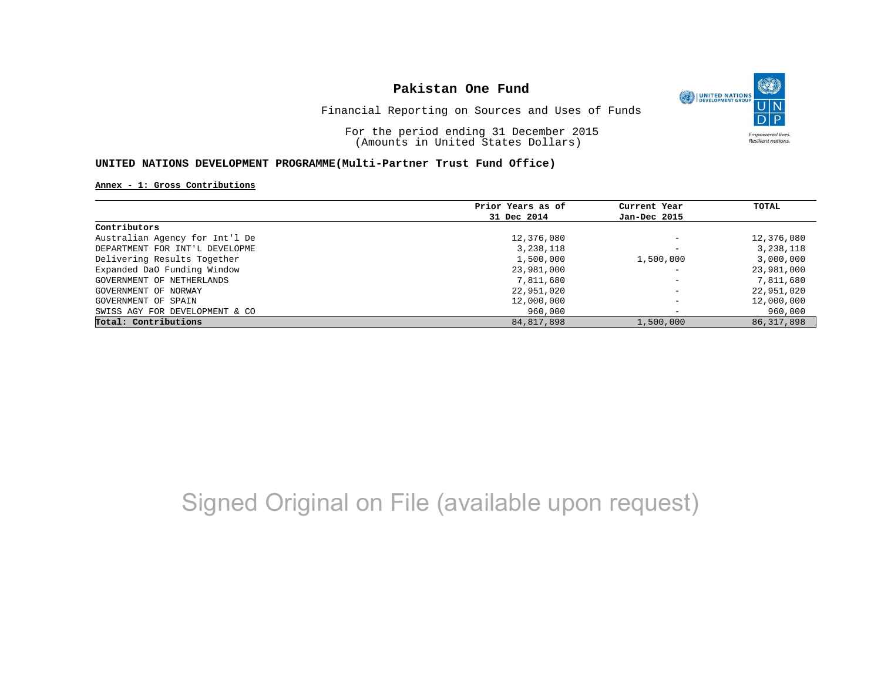

Financial Reporting on Sources and Uses of Funds

For the period ending 31 December 2015 (Amounts in United States Dollars)

### **UNITED NATIONS DEVELOPMENT PROGRAMME(Multi-Partner Trust Fund Office)**

#### **Annex - 1: Gross Contributions**

|                                | Prior Years as of | Current Year             | TOTAL        |
|--------------------------------|-------------------|--------------------------|--------------|
|                                | 31 Dec 2014       | Jan-Dec 2015             |              |
| Contributors                   |                   |                          |              |
| Australian Agency for Int'l De | 12,376,080        | $\overline{\phantom{0}}$ | 12,376,080   |
| DEPARTMENT FOR INT'L DEVELOPME | 3,238,118         | $\overline{\phantom{0}}$ | 3,238,118    |
| Delivering Results Together    | 1,500,000         | 1,500,000                | 3,000,000    |
| Expanded DaO Funding Window    | 23,981,000        | $\overline{\phantom{a}}$ | 23,981,000   |
| GOVERNMENT OF NETHERLANDS      | 7,811,680         | $\overline{\phantom{a}}$ | 7,811,680    |
| GOVERNMENT OF NORWAY           | 22,951,020        | $\overline{\phantom{0}}$ | 22,951,020   |
| GOVERNMENT OF SPAIN            | 12,000,000        | -                        | 12,000,000   |
| SWISS AGY FOR DEVELOPMENT & CO | 960,000           | $\overline{\phantom{0}}$ | 960,000      |
| Total: Contributions           | 84, 817, 898      | 1,500,000                | 86, 317, 898 |

## Signed Original on File (available upon request)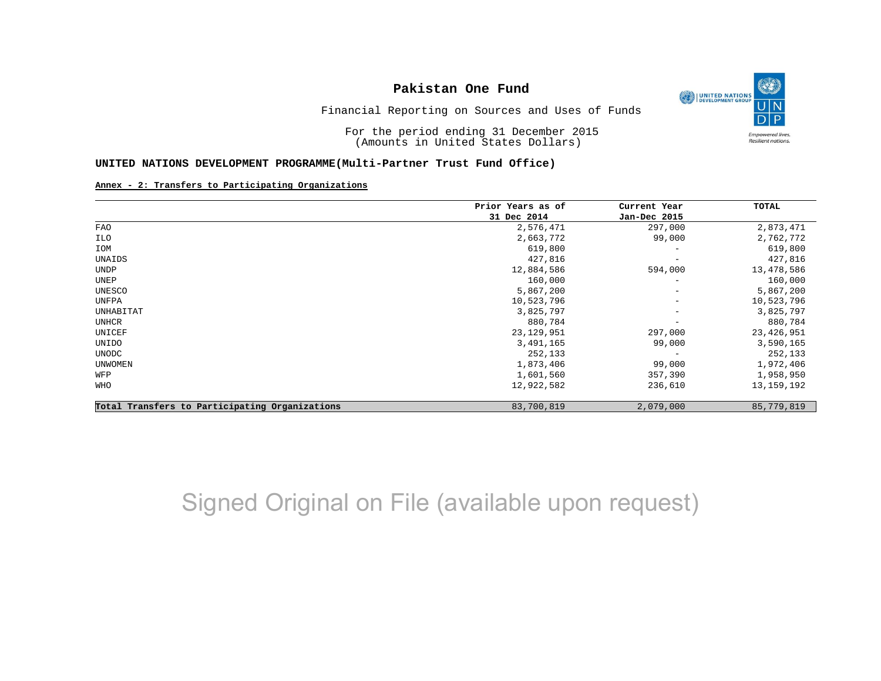

Financial Reporting on Sources and Uses of Funds

For the period ending 31 December 2015 (Amounts in United States Dollars)

#### **UNITED NATIONS DEVELOPMENT PROGRAMME(Multi-Partner Trust Fund Office)**

#### **Annex - 2: Transfers to Participating Organizations**

|                                                | Prior Years as of | Current Year             | TOTAL        |
|------------------------------------------------|-------------------|--------------------------|--------------|
|                                                | 31 Dec 2014       | Jan-Dec 2015             |              |
| FAO                                            | 2,576,471         | 297,000                  | 2,873,471    |
| ILO                                            | 2,663,772         | 99,000                   | 2,762,772    |
| IOM                                            | 619,800           |                          | 619,800      |
| UNAIDS                                         | 427,816           | $\overline{\phantom{m}}$ | 427,816      |
| <b>UNDP</b>                                    | 12,884,586        | 594,000                  | 13,478,586   |
| UNEP                                           | 160,000           | $\qquad \qquad -$        | 160,000      |
| UNESCO                                         | 5,867,200         | $\overline{\phantom{m}}$ | 5,867,200    |
| UNFPA                                          | 10,523,796        | $\qquad \qquad -$        | 10,523,796   |
| UNHABITAT                                      | 3,825,797         | $\overline{\phantom{m}}$ | 3,825,797    |
| UNHCR                                          | 880,784           |                          | 880,784      |
| UNICEF                                         | 23, 129, 951      | 297,000                  | 23, 426, 951 |
| UNIDO                                          | 3,491,165         | 99,000                   | 3,590,165    |
| UNODC                                          | 252,133           | $\overline{\phantom{m}}$ | 252,133      |
| <b>UNWOMEN</b>                                 | 1,873,406         | 99,000                   | 1,972,406    |
| WFP                                            | 1,601,560         | 357,390                  | 1,958,950    |
| WHO                                            | 12,922,582        | 236,610                  | 13, 159, 192 |
| Total Transfers to Participating Organizations | 83,700,819        | 2,079,000                | 85,779,819   |

## Signed Original on File (available upon request)